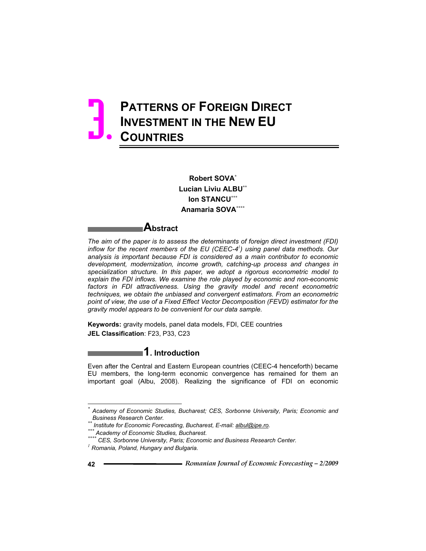# **PATTERNS OF FOREIGN DIRECT INVESTMENT IN THE NEW EU COUNTRIES**  3.

**Robert SOVA\* Lucian Liviu ALBU\*\* Ion STANCU\*\*\* Anamaria SOVA\*\*\*\***

### **Abstract**

*The aim of the paper is to assess the determinants of foreign direct investment (FDI) inflow for the recent members of the EU (CEEC-4<sup>1</sup> ) using panel data methods. Our analysis is important because FDI is considered as a main contributor to economic development, modernization, income growth, catching-up process and changes in specialization structure. In this paper, we adopt a rigorous econometric model to explain the FDI inflows. We examine the role played by economic and non-economic*  factors in FDI attractiveness. Using the gravity model and recent econometric *techniques, we obtain the unbiased and convergent estimators. From an econometric point of view, the use of a Fixed Effect Vector Decomposition (FEVD) estimator for the gravity model appears to be convenient for our data sample.* 

**Keywords:** gravity models, panel data models, FDI, CEE countries **JEL Classification**: F23, P33, C23

**1. Introduction** 

Even after the Central and Eastern European countries (CEEC-4 henceforth) became EU members, the long-term economic convergence has remained for them an important goal (Albu, 2008). Realizing the significance of FDI on economic

 $\overline{a}$ 

*<sup>\*</sup> Academy of Economic Studies, Bucharest; CES, Sorbonne University, Paris; Economic and* 

Business Research Center.<br>\*\* Institute for Economic Forecasting, Bucharest, E-mail: <u>albul@ipe.ro</u>.<br>\*\*\* Academy of Economic Studies, Bucharest.<br>\*\*\*\* CES, Sorbonne University, Paris; Economic and Business Research Center.<br><sup></sup>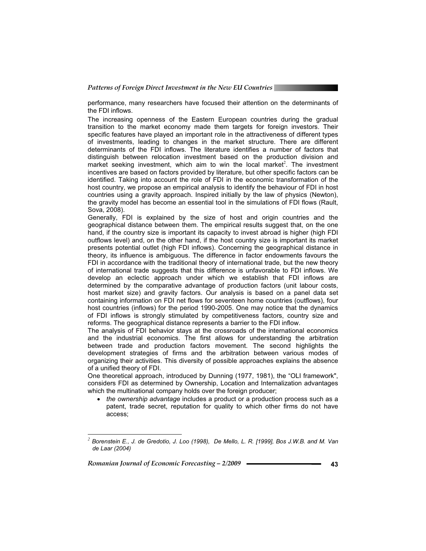performance, many researchers have focused their attention on the determinants of the FDI inflows.

The increasing openness of the Eastern European countries during the gradual transition to the market economy made them targets for foreign investors. Their specific features have played an important role in the attractiveness of different types of investments, leading to changes in the market structure. There are different determinants of the FDI inflows. The literature identifies a number of factors that distinguish between relocation investment based on the production division and market seeking investment, which aim to win the local market<sup>2</sup>. The investment incentives are based on factors provided by literature, but other specific factors can be identified. Taking into account the role of FDI in the economic transformation of the host country, we propose an empirical analysis to identify the behaviour of FDI in host countries using a gravity approach. Inspired initially by the law of physics (Newton), the gravity model has become an essential tool in the simulations of FDI flows (Rault, Sova, 2008).

Generally, FDI is explained by the size of host and origin countries and the geographical distance between them. The empirical results suggest that, on the one hand, if the country size is important its capacity to invest abroad is higher (high FDI outflows level) and, on the other hand, if the host country size is important its market presents potential outlet (high FDI inflows). Concerning the geographical distance in theory, its influence is ambiguous. The difference in factor endowments favours the FDI in accordance with the traditional theory of international trade, but the new theory of international trade suggests that this difference is unfavorable to FDI inflows. We develop an eclectic approach under which we establish that FDI inflows are determined by the comparative advantage of production factors (unit labour costs, host market size) and gravity factors. Our analysis is based on a panel data set containing information on FDI net flows for seventeen home countries (outflows), four host countries (inflows) for the period 1990-2005. One may notice that the dynamics of FDI inflows is strongly stimulated by competitiveness factors, country size and reforms. The geographical distance represents a barrier to the FDI inflow.

The analysis of FDI behavior stays at the crossroads of the international economics and the industrial economics. The first allows for understanding the arbitration between trade and production factors movement. The second highlights the development strategies of firms and the arbitration between various modes of organizing their activities. This diversity of possible approaches explains the absence of a unified theory of FDI.

One theoretical approach, introduced by Dunning (1977, 1981), the "OLI framework", considers FDI as determined by Ownership, Location and Internalization advantages which the multinational company holds over the foreign producer;

 *the ownership advantage* includes a product or a production process such as a patent, trade secret, reputation for quality to which other firms do not have access;

*Romanian Journal of Economic Forecasting – 2/2009* **<sup>43</sup>**

 $\overline{a}$ 

*<sup>2</sup> Borenstein E., J. de Gredotio, J. Loo (1998), De Mello, L. R. [1999], Bos J.W.B. and M. Van de Laar (2004)*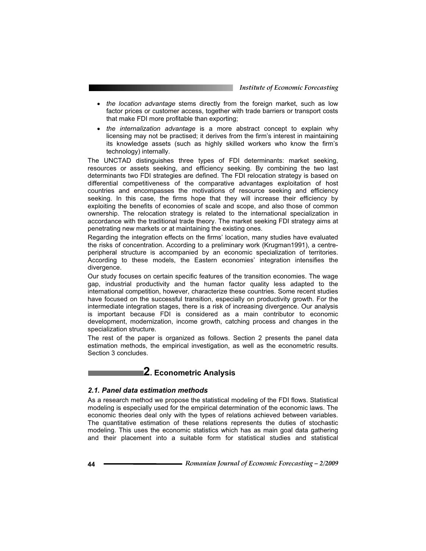- *the location advantage* stems directly from the foreign market, such as low factor prices or customer access, together with trade barriers or transport costs that make FDI more profitable than exporting;
- *the internalization advantage* is a more abstract concept to explain why licensing may not be practised; it derives from the firm's interest in maintaining its knowledge assets (such as highly skilled workers who know the firm's technology) internally.

The UNCTAD distinguishes three types of FDI determinants: market seeking, resources or assets seeking, and efficiency seeking. By combining the two last determinants two FDI strategies are defined. The FDI relocation strategy is based on differential competitiveness of the comparative advantages exploitation of host countries and encompasses the motivations of resource seeking and efficiency seeking. In this case, the firms hope that they will increase their efficiency by exploiting the benefits of economies of scale and scope, and also those of common ownership. The relocation strategy is related to the international specialization in accordance with the traditional trade theory. The market seeking FDI strategy aims at penetrating new markets or at maintaining the existing ones.

Regarding the integration effects on the firms' location, many studies have evaluated the risks of concentration. According to a preliminary work (Krugman1991), a centreperipheral structure is accompanied by an economic specialization of territories. According to these models, the Eastern economies' integration intensifies the divergence.

Our study focuses on certain specific features of the transition economies. The wage gap, industrial productivity and the human factor quality less adapted to the international competition, however, characterize these countries. Some recent studies have focused on the successful transition, especially on productivity growth. For the intermediate integration stages, there is a risk of increasing divergence. Our analysis is important because FDI is considered as a main contributor to economic development, modernization, income growth, catching process and changes in the specialization structure.

The rest of the paper is organized as follows. Section 2 presents the panel data estimation methods, the empirical investigation, as well as the econometric results. Section 3 concludes.

### **2. Econometric Analysis**

### *2.1. Panel data estimation methods*

As a research method we propose the statistical modeling of the FDI flows. Statistical modeling is especially used for the empirical determination of the economic laws. The economic theories deal only with the types of relations achieved between variables. The quantitative estimation of these relations represents the duties of stochastic modeling. This uses the economic statistics which has as main goal data gathering and their placement into a suitable form for statistical studies and statistical

**<sup>44</sup>***Romanian Journal of Economic Forecasting – 2/2009*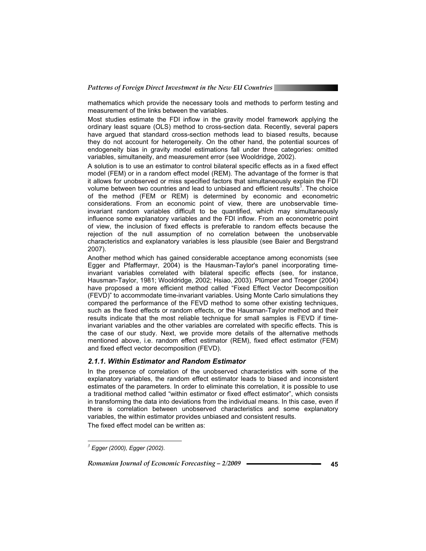mathematics which provide the necessary tools and methods to perform testing and measurement of the links between the variables.

Most studies estimate the FDI inflow in the gravity model framework applying the ordinary least square (OLS) method to cross-section data. Recently, several papers have argued that standard cross-section methods lead to biased results, because they do not account for heterogeneity. On the other hand, the potential sources of endogeneity bias in gravity model estimations fall under three categories: omitted variables, simultaneity, and measurement error (see Wooldridge, 2002).

A solution is to use an estimator to control bilateral specific effects as in a fixed effect model (FEM) or in a random effect model (REM). The advantage of the former is that it allows for unobserved or miss specified factors that simultaneously explain the FDI volume between two countries and lead to unbiased and efficient results<sup>3</sup>. The choice of the method (FEM or REM) is determined by economic and econometric considerations. From an economic point of view, there are unobservable timeinvariant random variables difficult to be quantified, which may simultaneously influence some explanatory variables and the FDI inflow. From an econometric point of view, the inclusion of fixed effects is preferable to random effects because the rejection of the null assumption of no correlation between the unobservable characteristics and explanatory variables is less plausible (see Baier and Bergstrand 2007).

Another method which has gained considerable acceptance among economists (see Egger and Pfaffermayr, 2004) is the Hausman-Taylor's panel incorporating timeinvariant variables correlated with bilateral specific effects (see, for instance, Hausman-Taylor, 1981; Wooldridge, 2002; Hsiao, 2003). Plümper and Troeger (2004) have proposed a more efficient method called "Fixed Effect Vector Decomposition (FEVD)" to accommodate time-invariant variables. Using Monte Carlo simulations they compared the performance of the FEVD method to some other existing techniques, such as the fixed effects or random effects, or the Hausman-Taylor method and their results indicate that the most reliable technique for small samples is FEVD if timeinvariant variables and the other variables are correlated with specific effects. This is the case of our study. Next, we provide more details of the alternative methods mentioned above, i.e. random effect estimator (REM), fixed effect estimator (FEM) and fixed effect vector decomposition (FEVD).

#### *2.1.1. Within Estimator and Random Estimator*

In the presence of correlation of the unobserved characteristics with some of the explanatory variables, the random effect estimator leads to biased and inconsistent estimates of the parameters. In order to eliminate this correlation, it is possible to use a traditional method called "within estimator or fixed effect estimator", which consists in transforming the data into deviations from the individual means. In this case, even if there is correlation between unobserved characteristics and some explanatory variables, the within estimator provides unbiased and consistent results.

The fixed effect model can be written as:

 $\overline{a}$ 

*Romanian Journal of Economic Forecasting – 2/2009* **<sup>45</sup>**

*<sup>3</sup> Egger (2000), Egger (2002).*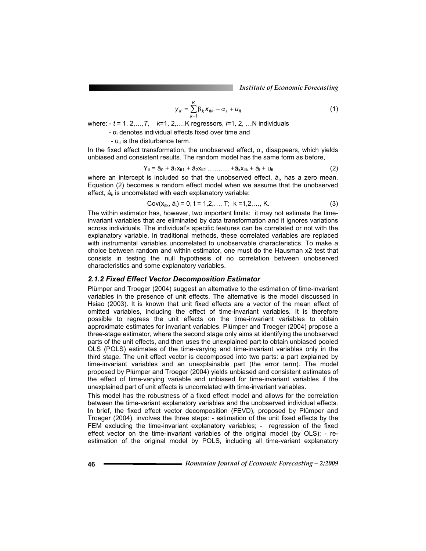*Institute of Economic Forecasting*

$$
\boldsymbol{y}_{it} = \sum_{k=1}^{K} \beta_k \boldsymbol{x}_{itk} + \alpha_i + \boldsymbol{u}_{it}
$$
 (1)

where: - *t* = 1, 2,…,*T*, *k*=1, 2,….K regressors, *i*=1, 2, …N individuals

-  $\alpha_i$  denotes individual effects fixed over time and

-  $u_{it}$  is the disturbance term.

In the fixed effect transformation, the unobserved effect,  $\alpha_i$ , disappears, which yields unbiased and consistent results. The random model has the same form as before,

$$
Y_{it} = \hat{a}_0 + \hat{a}_1 X_{it1} + \hat{a}_2 X_{it2} \dots \dots \dots + \hat{a}_k X_{itk} + \hat{a}_i + u_{it}
$$
 (2)

where an intercept is included so that the unobserved effect, á<sub>i</sub>, has a zero mean. Equation (2) becomes a random effect model when we assume that the unobserved effect,  $a_i$ , is uncorrelated with each explanatory variable:

$$
Cov(x_{itk}, \dot{a}_i) = 0, t = 1, 2, ..., T; k = 1, 2, ..., K.
$$
 (3)

The within estimator has, however, two important limits: it may not estimate the timeinvariant variables that are eliminated by data transformation and it ignores variations across individuals. The individual's specific features can be correlated or not with the explanatory variable. In traditional methods, these correlated variables are replaced with instrumental variables uncorrelated to unobservable characteristics. To make a choice between random and within estimator, one must do the Hausman x2 test that consists in testing the null hypothesis of no correlation between unobserved characteristics and some explanatory variables.

#### *2.1.2 Fixed Effect Vector Decomposition Estimator*

Plümper and Troeger (2004) suggest an alternative to the estimation of time-invariant variables in the presence of unit effects. The alternative is the model discussed in Hsiao (2003). It is known that unit fixed effects are a vector of the mean effect of omitted variables, including the effect of time-invariant variables. It is therefore possible to regress the unit effects on the time-invariant variables to obtain approximate estimates for invariant variables. Plümper and Troeger (2004) propose a three-stage estimator, where the second stage only aims at identifying the unobserved parts of the unit effects, and then uses the unexplained part to obtain unbiased pooled OLS (POLS) estimates of the time-varying and time-invariant variables only in the third stage. The unit effect vector is decomposed into two parts: a part explained by time-invariant variables and an unexplainable part (the error term). The model proposed by Plümper and Troeger (2004) yields unbiased and consistent estimates of the effect of time-varying variable and unbiased for time-invariant variables if the unexplained part of unit effects is uncorrelated with time-invariant variables.

This model has the robustness of a fixed effect model and allows for the correlation between the time-variant explanatory variables and the unobserved individual effects. In brief, the fixed effect vector decomposition (FEVD), proposed by Plümper and Troeger (2004), involves the three steps: - estimation of the unit fixed effects by the FEM excluding the time-invariant explanatory variables; - regression of the fixed effect vector on the time-invariant variables of the original model (by OLS); - reestimation of the original model by POLS, including all time-variant explanatory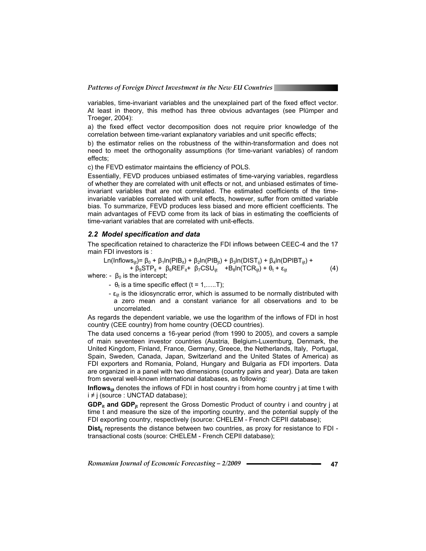variables, time-invariant variables and the unexplained part of the fixed effect vector. At least in theory, this method has three obvious advantages (see Plümper and Troeger, 2004):

a) the fixed effect vector decomposition does not require prior knowledge of the correlation between time-variant explanatory variables and unit specific effects;

b) the estimator relies on the robustness of the within-transformation and does not need to meet the orthogonality assumptions (for time-variant variables) of random effects;

c) the FEVD estimator maintains the efficiency of POLS.

Essentially, FEVD produces unbiased estimates of time-varying variables, regardless of whether they are correlated with unit effects or not, and unbiased estimates of timeinvariant variables that are not correlated. The estimated coefficients of the timeinvariable variables correlated with unit effects, however, suffer from omitted variable bias. To summarize, FEVD produces less biased and more efficient coefficients. The main advantages of FEVD come from its lack of bias in estimating the coefficients of time-variant variables that are correlated with unit-effects.

#### *2.2 Model specification and data*

The specification retained to characterize the FDI inflows between CEEC-4 and the 17 main FDI investors is :

$$
Ln(Inflows_{ijt}) = \beta_0 + \beta_1 ln(PIB_{it}) + \beta_2 ln(PIB_{jt}) + \beta_3 ln(DIST_{ij}) + \beta_4 ln(DPIBT_{ijt}) + + \beta_5 STP_{it} + \beta_6 REF_{it} + \beta_7 CSU_{ijt} + B_8 ln(TCR_{ijt}) + \theta_t + \epsilon_{ijt}
$$
 (4)

where: -  $\beta_0$  is the intercept;

-  $\theta_t$  is a time specific effect (t = 1,.....T);

-  $\varepsilon_{\text{it}}$  is the idiosyncratic error, which is assumed to be normally distributed with a zero mean and a constant variance for all observations and to be uncorrelated.

As regards the dependent variable, we use the logarithm of the inflows of FDI in host country (CEE country) from home country (OECD countries).

The data used concerns a 16-year period (from 1990 to 2005), and covers a sample of main seventeen investor countries (Austria, Belgium-Luxemburg, Denmark, the United Kingdom, Finland, France, Germany, Greece, the Netherlands, Italy, Portugal, Spain, Sweden, Canada, Japan, Switzerland and the United States of America) as FDI exporters and Romania, Poland, Hungary and Bulgaria as FDI importers. Data are organized in a panel with two dimensions (country pairs and year). Data are taken from several well-known international databases, as following:

**Inflows**<sub>iif</sub> denotes the inflows of FDI in host country i from home country j at time t with  $i \neq j$  (source : UNCTAD database);

**GDP<sub>it</sub>** and GDP<sub>it</sub> represent the Gross Domestic Product of country i and country j at time t and measure the size of the importing country, and the potential supply of the FDI exporting country, respectively (source: CHELEM - French CEPII database);

Dist<sub>ij</sub> represents the distance between two countries, as proxy for resistance to FDI transactional costs (source: CHELEM - French CEPII database);

*Romanian Journal of Economic Forecasting – 2/2009* **<sup>47</sup>**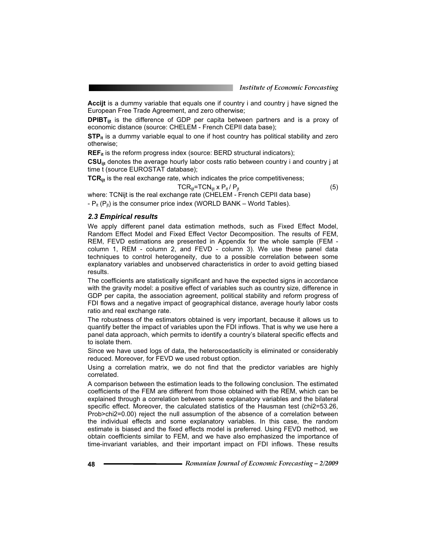**Accijt** is a dummy variable that equals one if country i and country j have signed the European Free Trade Agreement, and zero otherwise;

**DPIBT**<sub>ijt</sub> is the difference of GDP per capita between partners and is a proxy of economic distance (source: CHELEM - French CEPII data base);

**STP**<sub>it</sub> is a dummy variable equal to one if host country has political stability and zero otherwise;

**REF<sub>it</sub>** is the reform progress index (source: BERD structural indicators);

**CSUijt** denotes the average hourly labor costs ratio between country i and country j at time t (source EUROSTAT database);

**TCR**<sub>ijt</sub> is the real exchange rate, which indicates the price competitiveness;

$$
TCR_{ijt} = TCN_{ijt} \times P_{it} / P_{jt}
$$
 (5)

where: TCNijt is the real exchange rate (CHELEM - French CEPII data base) -  $P_{it}$  ( $P_{it}$ ) is the consumer price index (WORLD BANK – World Tables).

#### *2.3 Empirical results*

We apply different panel data estimation methods, such as Fixed Effect Model, Random Effect Model and Fixed Effect Vector Decomposition. The results of FEM, REM, FEVD estimations are presented in Appendix for the whole sample (FEM column 1, REM - column 2, and FEVD - column 3). We use these panel data techniques to control heterogeneity, due to a possible correlation between some explanatory variables and unobserved characteristics in order to avoid getting biased results.

The coefficients are statistically significant and have the expected signs in accordance with the gravity model: a positive effect of variables such as country size, difference in GDP per capita, the association agreement, political stability and reform progress of FDI flows and a negative impact of geographical distance, average hourly labor costs ratio and real exchange rate.

The robustness of the estimators obtained is very important, because it allows us to quantify better the impact of variables upon the FDI inflows. That is why we use here a panel data approach, which permits to identify a country's bilateral specific effects and to isolate them.

Since we have used logs of data, the heteroscedasticity is eliminated or considerably reduced. Moreover, for FEVD we used robust option.

Using a correlation matrix, we do not find that the predictor variables are highly correlated.

A comparison between the estimation leads to the following conclusion. The estimated coefficients of the FEM are different from those obtained with the REM, which can be explained through a correlation between some explanatory variables and the bilateral specific effect. Moreover, the calculated statistics of the Hausman test (chi2=53.26, Prob>chi2=0.00) reject the null assumption of the absence of a correlation between the individual effects and some explanatory variables. In this case, the random estimate is biased and the fixed effects model is preferred. Using FEVD method, we obtain coefficients similar to FEM, and we have also emphasized the importance of time-invariant variables, and their important impact on FDI inflows. These results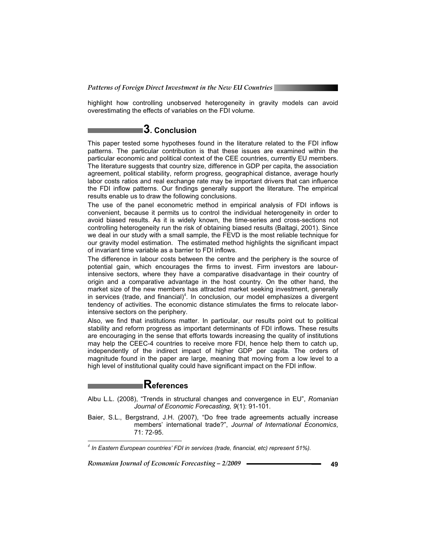highlight how controlling unobserved heterogeneity in gravity models can avoid overestimating the effects of variables on the FDI volume.

## **3. Conclusion**

This paper tested some hypotheses found in the literature related to the FDI inflow patterns. The particular contribution is that these issues are examined within the particular economic and political context of the CEE countries, currently EU members. The literature suggests that country size, difference in GDP per capita, the association agreement, political stability, reform progress, geographical distance, average hourly labor costs ratios and real exchange rate may be important drivers that can influence the FDI inflow patterns. Our findings generally support the literature. The empirical results enable us to draw the following conclusions.

The use of the panel econometric method in empirical analysis of FDI inflows is convenient, because it permits us to control the individual heterogeneity in order to avoid biased results. As it is widely known, the time-series and cross-sections not controlling heterogeneity run the risk of obtaining biased results (Baltagi, 2001). Since we deal in our study with a small sample, the FEVD is the most reliable technique for our gravity model estimation. The estimated method highlights the significant impact of invariant time variable as a barrier to FDI inflows.

The difference in labour costs between the centre and the periphery is the source of potential gain, which encourages the firms to invest. Firm investors are labourintensive sectors, where they have a comparative disadvantage in their country of origin and a comparative advantage in the host country. On the other hand, the market size of the new members has attracted market seeking investment, generally in services (trade, and financial)<sup>4</sup>. In conclusion, our model emphasizes a divergent tendency of activities. The economic distance stimulates the firms to relocate laborintensive sectors on the periphery.

Also, we find that institutions matter. In particular, our results point out to political stability and reform progress as important determinants of FDI inflows. These results are encouraging in the sense that efforts towards increasing the quality of institutions may help the CEEC-4 countries to receive more FDI, hence help them to catch up, independently of the indirect impact of higher GDP per capita. The orders of magnitude found in the paper are large, meaning that moving from a low level to a high level of institutional quality could have significant impact on the FDI inflow.

# **References**

- Albu L.L. (2008), "Trends in structural changes and convergence in EU", *Romanian Journal of Economic Forecasting, 9*(1): 91-101.
- Baier, S.L., Bergstrand, J.H. (2007), "Do free trade agreements actually increase members' international trade?", *Journal of International Economics*, 71: 72-95.

*Romanian Journal of Economic Forecasting – 2/2009* **———————————————————49** 

 $\overline{a}$ 

*<sup>4</sup> In Eastern European countries' FDI in services (trade, financial, etc) represent 51%).*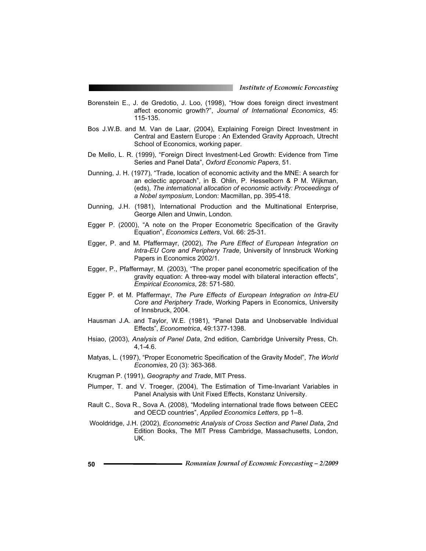- Borenstein E., J. de Gredotio, J. Loo, (1998), "How does foreign direct investment affect economic growth?", *Journal of International Economics*, 45: 115-135.
- Bos J.W.B. and M. Van de Laar, (2004), Explaining Foreign Direct Investment in Central and Eastern Europe : An Extended Gravity Approach, Utrecht School of Economics, working paper.
- De Mello, L. R. (1999), "Foreign Direct Investment-Led Growth: Evidence from Time Series and Panel Data", *Oxford Economic Papers*, 51.
- Dunning, J. H. (1977), "Trade, location of economic activity and the MNE: A search for an eclectic approach", in B. Ohlin, P. Hesselborn & P M. Wijkman, (eds), *The international allocation of economic activity: Proceedings of a Nobel symposium*, London: Macmillan, pp. 395-418.
- Dunning, J.H. (1981), International Production and the Multinational Enterprise, George Allen and Unwin, London.
- Egger P. (2000), "A note on the Proper Econometric Specification of the Gravity Equation", *Economics Letters*, Vol. 66: 25-31.
- Egger, P. and M. Pfaffermayr, (2002), *The Pure Effect of European Integration on Intra-EU Core and Periphery Trade*, University of Innsbruck Working Papers in Economics 2002/1.
- Egger, P., Pfaffermayr, M. (2003), "The proper panel econometric specification of the gravity equation: A three-way model with bilateral interaction effects", *Empirical Economics*, 28: 571-580.
- Egger P. et M. Pfaffermayr, *The Pure Effects of European Integration on Intra-EU Core and Periphery Trade*, Working Papers in Economics, University of Innsbruck, 2004.
- Hausman J.A. and Taylor, W.E. (1981), "Panel Data and Unobservable Individual Effects", *Econometrica*, 49:1377-1398.
- Hsiao, (2003), *Analysis of Panel Data*, 2nd edition, Cambridge University Press, Ch. 4,1-4.6.
- Matyas, L. (1997), "Proper Econometric Specification of the Gravity Model", *The World Economies*, 20 (3): 363-368.
- Krugman P. (1991), *Geography and Trade*, MIT Press.
- Plumper, T. and V. Troeger, (2004), The Estimation of Time-Invariant Variables in Panel Analysis with Unit Fixed Effects, Konstanz University.
- Rault C., Sova R., Sova A. (2008), "Modeling international trade flows between CEEC and OECD countries", *Applied Economics Letters*, pp 1–8.
- Wooldridge, J.H. (2002), *Econometric Analysis of Cross Section and Panel Data*, 2nd Edition Books, The MIT Press Cambridge, Massachusetts, London, UK.
- **<sup>50</sup>***Romanian Journal of Economic Forecasting 2/2009*